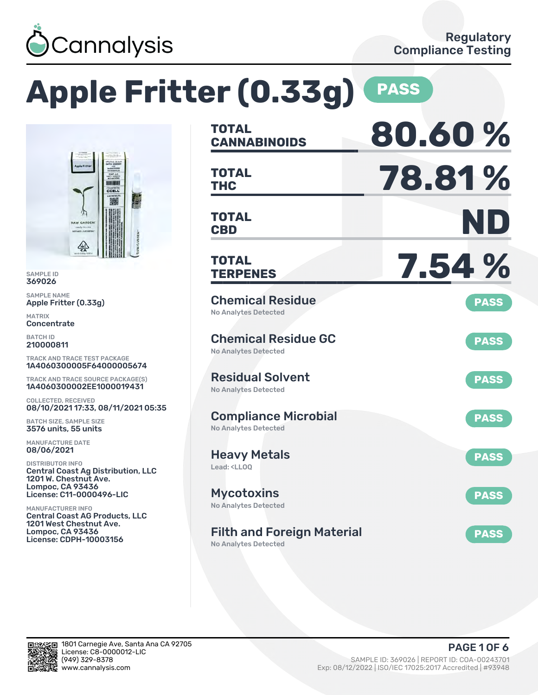

CCELL 肠

### **Apple Fritter (0.33g) PASS TOTAL CANNABINOIDS 80.60 % TOTAL THC 78.81 % TOTAL CBD ND TOTAL TERPENES 7.54 %** Chemical Residue No Analytes Detected **PASS** Chemical Residue GC No Analytes Detected **PASS** Residual Solvent No Analytes Detected **PASS** Compliance Microbial No Analytes Detected **PASS** Heavy Metals Lead: <LLOO **PASS Mycotoxins** No Analytes Detected **PASS** Filth and Foreign Material No Analytes Detected **PASS** TRACK AND TRACE TEST PACKAGE 1A4060300005F64000005674 TRACK AND TRACE SOURCE PACKAGE(S) 1A4060300002EE1000019431 08/10/2021 17:33, 08/11/2021 05:35 Central Coast Ag Distribution, LLC License: C11-0000496-LIC Central Coast AG Products, LLC License: CDPH-10003156

SAMPLE ID 369026 SAMPLE NAME

MATRIX **Concentrate** BATCH ID 210000811

Apple Fritter (0.33g)

COLLECTED, RECEIVED

BATCH SIZE, SAMPLE SIZE 3576 units, 55 units MANUFACTURE DATE 08/06/2021 DISTRIBUTOR INFO

1201 W. Chestnut Ave. Lompoc, CA 93436

1201 West Chestnut Ave. Lompoc, CA 93436

MANUFACTURER INFO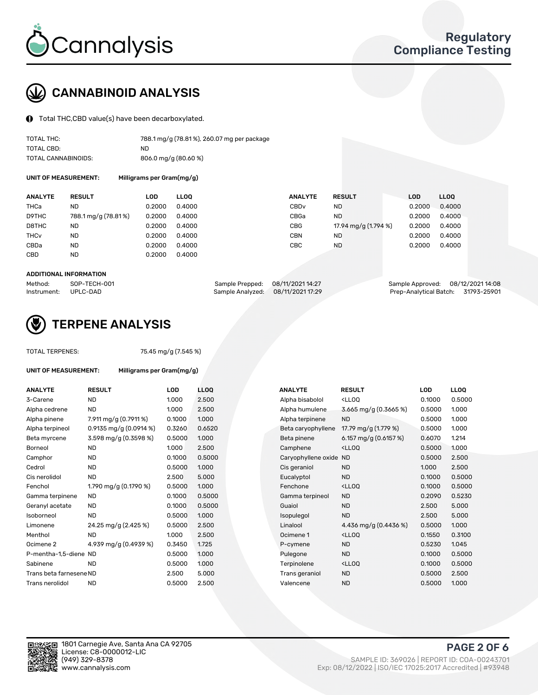

# CANNABINOID ANALYSIS

Total THC,CBD value(s) have been decarboxylated.

| TOTAL THC:          | 788.1 mg/g (78.81%), 260.07 mg per package |
|---------------------|--------------------------------------------|
| TOTAL CBD:          | ND.                                        |
| TOTAL CANNABINOIDS: | 806.0 mg/g (80.60 %)                       |

UNIT OF MEASUREMENT: Milligrams per Gram(mg/g)

| <b>RESULT</b>       | LOD    | <b>LLOO</b> | <b>ANALYTE</b>                                           |           |               |                      | LL <sub>00</sub>     |
|---------------------|--------|-------------|----------------------------------------------------------|-----------|---------------|----------------------|----------------------|
| ND                  | 0.2000 |             | CBD <sub>v</sub>                                         | ND        |               | 0.2000               | 0.4000               |
| 788.1 mg/g (78.81%) | 0.2000 |             | CBGa                                                     | <b>ND</b> |               | 0.2000               | 0.4000               |
| ND                  | 0.2000 |             | CBG                                                      |           |               |                      | 0.4000               |
| <b>ND</b>           | 0.2000 |             | CBN                                                      | ND.       |               | 0.2000               | 0.4000               |
| ND                  | 0.2000 |             | CBC                                                      | ND        |               | 0.2000               | 0.4000               |
| <b>ND</b>           | 0.2000 |             |                                                          |           |               |                      |                      |
|                     |        |             | 0.4000<br>0.4000<br>0.4000<br>0.4000<br>0.4000<br>0.4000 |           | <b>RESULT</b> | 17.94 mg/g (1.794 %) | <b>LOD</b><br>0.2000 |

#### ADDITIONAL INFORMATION

| Method:              | SOP-TECH-001 | Sample Prepped: 08/11/2021 14:27  | Sample Approved: 08/12/2021 14:08  |  |
|----------------------|--------------|-----------------------------------|------------------------------------|--|
| Instrument: UPLC-DAD |              | Sample Analyzed: 08/11/2021 17:29 | Prep-Analytical Batch: 31793-25901 |  |



## TERPENE ANALYSIS

UNIT OF MEASUREMENT: Milligrams per Gram(mg/g)

| TUTAL TERPENES: |  |
|-----------------|--|
|                 |  |
|                 |  |

TOTAL TERPENES: 75.45 mg/g (7.545 %)

| <b>ANALYTE</b>          | <b>RESULT</b>            | <b>LOD</b> | <b>LLOQ</b> |  | <b>ANALYTE</b>         | <b>RESULT</b>                                       | <b>LOD</b> | <b>LLOQ</b> |
|-------------------------|--------------------------|------------|-------------|--|------------------------|-----------------------------------------------------|------------|-------------|
| 3-Carene                | <b>ND</b>                | 1.000      | 2.500       |  | Alpha bisabolol        | <lloq< td=""><td>0.1000</td><td>0.5000</td></lloq<> | 0.1000     | 0.5000      |
| Alpha cedrene           | <b>ND</b>                | 1.000      | 2.500       |  | Alpha humulene         | 3.665 mg/g (0.3665 %)                               | 0.5000     | 1.000       |
| Alpha pinene            | 7.911 mg/g (0.7911 %)    | 0.1000     | 1.000       |  | Alpha terpinene        | <b>ND</b>                                           | 0.5000     | 1.000       |
| Alpha terpineol         | 0.9135 mg/g $(0.0914\%)$ | 0.3260     | 0.6520      |  | Beta caryophyllene     | 17.79 mg/g (1.779 %)                                | 0.5000     | 1.000       |
| Beta myrcene            | 3.598 mg/g (0.3598 %)    | 0.5000     | 1.000       |  | Beta pinene            | 6.157 mg/g $(0.6157%)$                              | 0.6070     | 1.214       |
| Borneol                 | <b>ND</b>                | 1.000      | 2.500       |  | Camphene               | <lloq< td=""><td>0.5000</td><td>1.000</td></lloq<>  | 0.5000     | 1.000       |
| Camphor                 | <b>ND</b>                | 0.1000     | 0.5000      |  | Caryophyllene oxide ND |                                                     | 0.5000     | 2.500       |
| Cedrol                  | <b>ND</b>                | 0.5000     | 1.000       |  | Cis geraniol           | <b>ND</b>                                           | 1.000      | 2.500       |
| Cis nerolidol           | <b>ND</b>                | 2.500      | 5.000       |  | Eucalyptol             | <b>ND</b>                                           | 0.1000     | 0.5000      |
| Fenchol                 | 1.790 mg/g (0.1790 %)    | 0.5000     | 1.000       |  | Fenchone               | <lloq< td=""><td>0.1000</td><td>0.5000</td></lloq<> | 0.1000     | 0.5000      |
| Gamma terpinene         | <b>ND</b>                | 0.1000     | 0.5000      |  | Gamma terpineol        | <b>ND</b>                                           | 0.2090     | 0.5230      |
| Geranyl acetate         | <b>ND</b>                | 0.1000     | 0.5000      |  | Guaiol                 | <b>ND</b>                                           | 2.500      | 5.000       |
| Isoborneol              | <b>ND</b>                | 0.5000     | 1.000       |  | Isopulegol             | <b>ND</b>                                           | 2.500      | 5.000       |
| Limonene                | 24.25 mg/g (2.425 %)     | 0.5000     | 2.500       |  | Linalool               | 4.436 mg/g $(0.4436\%)$                             | 0.5000     | 1.000       |
| Menthol                 | <b>ND</b>                | 1.000      | 2.500       |  | Ocimene 1              | <lloq< td=""><td>0.1550</td><td>0.3100</td></lloq<> | 0.1550     | 0.3100      |
| Ocimene 2               | 4.939 mg/g (0.4939 %)    | 0.3450     | 1.725       |  | P-cymene               | <b>ND</b>                                           | 0.5230     | 1.045       |
| P-mentha-1,5-diene ND   |                          | 0.5000     | 1.000       |  | Pulegone               | <b>ND</b>                                           | 0.1000     | 0.5000      |
| Sabinene                | <b>ND</b>                | 0.5000     | 1.000       |  | Terpinolene            | <lloq< td=""><td>0.1000</td><td>0.5000</td></lloq<> | 0.1000     | 0.5000      |
| Trans beta farnesene ND |                          | 2.500      | 5.000       |  | Trans geraniol         | <b>ND</b>                                           | 0.5000     | 2.500       |
| Trans nerolidol         | <b>ND</b>                | 0.5000     | 2.500       |  | Valencene              | <b>ND</b>                                           | 0.5000     | 1.000       |

| <b>NALYTE</b>       | <b>RESULT</b>                                       | LOD    | LLOQ   |
|---------------------|-----------------------------------------------------|--------|--------|
| Ipha bisabolol      | <lloq< td=""><td>0.1000</td><td>0.5000</td></lloq<> | 0.1000 | 0.5000 |
| Ipha humulene       | 3.665 mg/g $(0.3665\%)$                             | 0.5000 | 1.000  |
| Ipha terpinene      | <b>ND</b>                                           | 0.5000 | 1.000  |
| eta caryophyllene   | 17.79 mg/g (1.779 %)                                | 0.5000 | 1.000  |
| eta pinene          | 6.157 mg/g (0.6157 %)                               | 0.6070 | 1.214  |
| amphene:            | <lloq< td=""><td>0.5000</td><td>1.000</td></lloq<>  | 0.5000 | 1.000  |
| aryophyllene oxide: | <b>ND</b>                                           | 0.5000 | 2.500  |
| is geraniol:        | <b>ND</b>                                           | 1.000  | 2.500  |
| ucalyptol           | <b>ND</b>                                           | 0.1000 | 0.5000 |
| enchone             | <lloq< td=""><td>0.1000</td><td>0.5000</td></lloq<> | 0.1000 | 0.5000 |
| amma terpineol      | <b>ND</b>                                           | 0.2090 | 0.5230 |
| iuaiol              | <b>ND</b>                                           | 2.500  | 5.000  |
| sopulegol           | <b>ND</b>                                           | 2.500  | 5.000  |
| inalool             | 4.436 mg/g $(0.4436\%)$                             | 0.5000 | 1.000  |
| cimene 1            | <lloq< td=""><td>0.1550</td><td>0.3100</td></lloq<> | 0.1550 | 0.3100 |
| -cymene             | <b>ND</b>                                           | 0.5230 | 1.045  |
| ulegone             | <b>ND</b>                                           | 0.1000 | 0.5000 |
| erpinolene          | <lloq< td=""><td>0.1000</td><td>0.5000</td></lloq<> | 0.1000 | 0.5000 |
| rans geraniol       | ND.                                                 | 0.5000 | 2.500  |
| 'alencene           | <b>ND</b>                                           | 0.5000 | 1.000  |



PAGE 2 OF 6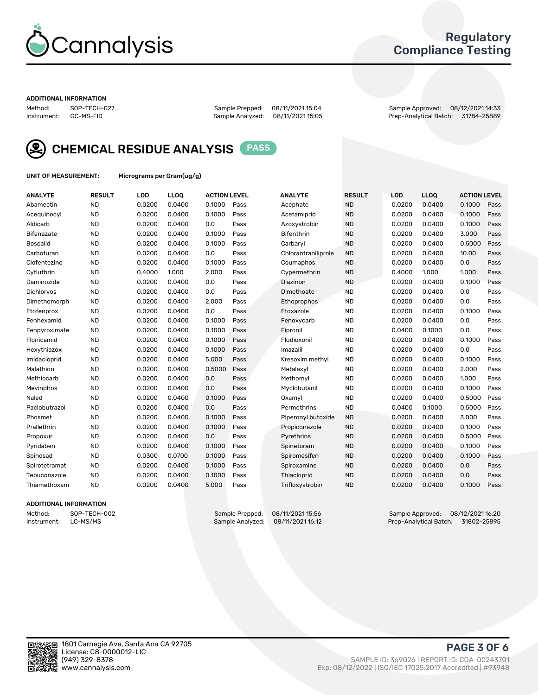

## Regulatory Compliance Testing

#### ADDITIONAL INFORMATION

Method: SOP-TECH-027 Sample Prepped: 08/11/2021 15:04 Sample Approved: 08/12/2021 14:33 Prep-Analytical Batch: 31784-25889



CHEMICAL RESIDUE ANALYSIS PASS

UNIT OF MEASUREMENT: Micrograms per Gram(ug/g)

| <b>ANALYTE</b>    | <b>RESULT</b> | LOD    | LLOQ   | <b>ACTION LEVEL</b> |      | <b>ANALYTE</b>      | <b>RESULT</b> | <b>LOD</b> | <b>LLOQ</b> | <b>ACTION LEVEL</b> |      |
|-------------------|---------------|--------|--------|---------------------|------|---------------------|---------------|------------|-------------|---------------------|------|
| Abamectin         | <b>ND</b>     | 0.0200 | 0.0400 | 0.1000              | Pass | Acephate            | <b>ND</b>     | 0.0200     | 0.0400      | 0.1000              | Pass |
| Acequinocyl       | <b>ND</b>     | 0.0200 | 0.0400 | 0.1000              | Pass | Acetamiprid         | <b>ND</b>     | 0.0200     | 0.0400      | 0.1000              | Pass |
| Aldicarb          | <b>ND</b>     | 0.0200 | 0.0400 | 0.0                 | Pass | Azoxystrobin        | <b>ND</b>     | 0.0200     | 0.0400      | 0.1000              | Pass |
| Bifenazate        | <b>ND</b>     | 0.0200 | 0.0400 | 0.1000              | Pass | <b>Bifenthrin</b>   | <b>ND</b>     | 0.0200     | 0.0400      | 3.000               | Pass |
| <b>Boscalid</b>   | <b>ND</b>     | 0.0200 | 0.0400 | 0.1000              | Pass | Carbarvl            | <b>ND</b>     | 0.0200     | 0.0400      | 0.5000              | Pass |
| Carbofuran        | <b>ND</b>     | 0.0200 | 0.0400 | 0.0                 | Pass | Chlorantraniliprole | <b>ND</b>     | 0.0200     | 0.0400      | 10.00               | Pass |
| Clofentezine      | <b>ND</b>     | 0.0200 | 0.0400 | 0.1000              | Pass | Coumaphos           | <b>ND</b>     | 0.0200     | 0.0400      | 0.0                 | Pass |
| Cyfluthrin        | <b>ND</b>     | 0.4000 | 1.000  | 2.000               | Pass | Cypermethrin        | <b>ND</b>     | 0.4000     | 1.000       | 1.000               | Pass |
| Daminozide        | <b>ND</b>     | 0.0200 | 0.0400 | 0.0                 | Pass | Diazinon            | <b>ND</b>     | 0.0200     | 0.0400      | 0.1000              | Pass |
| <b>Dichlorvos</b> | <b>ND</b>     | 0.0200 | 0.0400 | 0.0                 | Pass | Dimethoate          | <b>ND</b>     | 0.0200     | 0.0400      | 0.0                 | Pass |
| Dimethomorph      | <b>ND</b>     | 0.0200 | 0.0400 | 2.000               | Pass | <b>Ethoprophos</b>  | <b>ND</b>     | 0.0200     | 0.0400      | 0.0                 | Pass |
| Etofenprox        | <b>ND</b>     | 0.0200 | 0.0400 | 0.0                 | Pass | Etoxazole           | <b>ND</b>     | 0.0200     | 0.0400      | 0.1000              | Pass |
| Fenhexamid        | <b>ND</b>     | 0.0200 | 0.0400 | 0.1000              | Pass | Fenoxycarb          | <b>ND</b>     | 0.0200     | 0.0400      | 0.0                 | Pass |
| Fenpyroximate     | <b>ND</b>     | 0.0200 | 0.0400 | 0.1000              | Pass | Fipronil            | <b>ND</b>     | 0.0400     | 0.1000      | 0.0                 | Pass |
| Flonicamid        | <b>ND</b>     | 0.0200 | 0.0400 | 0.1000              | Pass | Fludioxonil         | <b>ND</b>     | 0.0200     | 0.0400      | 0.1000              | Pass |
| Hexythiazox       | <b>ND</b>     | 0.0200 | 0.0400 | 0.1000              | Pass | Imazalil            | <b>ND</b>     | 0.0200     | 0.0400      | 0.0                 | Pass |
| Imidacloprid      | <b>ND</b>     | 0.0200 | 0.0400 | 5.000               | Pass | Kresoxim methyl     | <b>ND</b>     | 0.0200     | 0.0400      | 0.1000              | Pass |
| Malathion         | <b>ND</b>     | 0.0200 | 0.0400 | 0.5000              | Pass | Metalaxyl           | <b>ND</b>     | 0.0200     | 0.0400      | 2.000               | Pass |
| Methiocarb        | <b>ND</b>     | 0.0200 | 0.0400 | 0.0                 | Pass | Methomyl            | <b>ND</b>     | 0.0200     | 0.0400      | 1.000               | Pass |
| Mevinphos         | <b>ND</b>     | 0.0200 | 0.0400 | 0.0                 | Pass | Myclobutanil        | <b>ND</b>     | 0.0200     | 0.0400      | 0.1000              | Pass |
| Naled             | <b>ND</b>     | 0.0200 | 0.0400 | 0.1000              | Pass | Oxamyl              | <b>ND</b>     | 0.0200     | 0.0400      | 0.5000              | Pass |
| Paclobutrazol     | <b>ND</b>     | 0.0200 | 0.0400 | 0.0                 | Pass | Permethrins         | <b>ND</b>     | 0.0400     | 0.1000      | 0.5000              | Pass |
| Phosmet           | <b>ND</b>     | 0.0200 | 0.0400 | 0.1000              | Pass | Piperonyl butoxide  | <b>ND</b>     | 0.0200     | 0.0400      | 3.000               | Pass |
| Prallethrin       | <b>ND</b>     | 0.0200 | 0.0400 | 0.1000              | Pass | Propiconazole       | <b>ND</b>     | 0.0200     | 0.0400      | 0.1000              | Pass |
| Propoxur          | <b>ND</b>     | 0.0200 | 0.0400 | 0.0                 | Pass | Pyrethrins          | <b>ND</b>     | 0.0200     | 0.0400      | 0.5000              | Pass |
| Pyridaben         | <b>ND</b>     | 0.0200 | 0.0400 | 0.1000              | Pass | Spinetoram          | <b>ND</b>     | 0.0200     | 0.0400      | 0.1000              | Pass |
| Spinosad          | <b>ND</b>     | 0.0300 | 0.0700 | 0.1000              | Pass | Spiromesifen        | <b>ND</b>     | 0.0200     | 0.0400      | 0.1000              | Pass |
| Spirotetramat     | <b>ND</b>     | 0.0200 | 0.0400 | 0.1000              | Pass | Spiroxamine         | <b>ND</b>     | 0.0200     | 0.0400      | 0.0                 | Pass |
| Tebuconazole      | <b>ND</b>     | 0.0200 | 0.0400 | 0.1000              | Pass | Thiacloprid         | <b>ND</b>     | 0.0200     | 0.0400      | 0.0                 | Pass |
| Thiamethoxam      | <b>ND</b>     | 0.0200 | 0.0400 | 5.000               | Pass | Trifloxystrobin     | <b>ND</b>     | 0.0200     | 0.0400      | 0.1000              | Pass |

### ADDITIONAL INFORMATION

Method: SOP-TECH-002 Sample Prepped: 08/11/2021 15:56 Sample Approved: 08/12/2021 16:20 Prep-Analytical Batch: 31802-25895

PAGE 3 OF 6

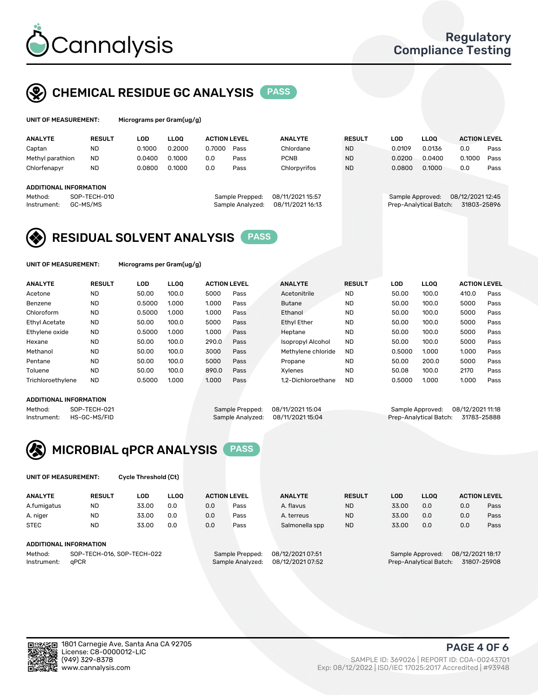

# CHEMICAL RESIDUE GC ANALYSIS PASS

| UNIT OF MEASUREMENT: | Micrograms pe |
|----------------------|---------------|
|                      |               |

er Gram(ug/g)

| <b>ANALYTE</b>                                          | <b>RESULT</b>            | LOD    | <b>LLOO</b> | <b>ACTION LEVEL</b> |                                     | <b>ANALYTE</b>                       | <b>RESULT</b> | LOD              | <b>LLOO</b>            | <b>ACTION LEVEL</b>             |      |
|---------------------------------------------------------|--------------------------|--------|-------------|---------------------|-------------------------------------|--------------------------------------|---------------|------------------|------------------------|---------------------------------|------|
| Captan                                                  | <b>ND</b>                | 0.1000 | 0.2000      | 0.7000              | Pass                                | Chlordane                            | <b>ND</b>     | 0.0109           | 0.0136                 | 0.0                             | Pass |
| Methyl parathion                                        | <b>ND</b>                | 0.0400 | 0.1000      | 0.0                 | Pass                                | <b>PCNB</b>                          | <b>ND</b>     | 0.0200           | 0.0400                 | 0.1000                          | Pass |
| Chlorfenapyr                                            | <b>ND</b>                | 0.0800 | 0.1000      | 0.0                 | Pass                                | Chlorpyrifos                         | <b>ND</b>     | 0.0800           | 0.1000                 | 0.0                             | Pass |
| <b>ADDITIONAL INFORMATION</b><br>Method:<br>Instrument: | SOP-TECH-010<br>GC-MS/MS |        |             |                     | Sample Prepped:<br>Sample Analyzed: | 08/11/2021 15:57<br>08/11/2021 16:13 |               | Sample Approved: | Prep-Analytical Batch: | 08/12/2021 12:45<br>31803-25896 |      |

## RESIDUAL SOLVENT ANALYSIS PASS

UNIT OF MEASUREMENT: Micrograms per Gram(ug/g)

| <b>ND</b><br>100.0<br>Acetone<br>50.00<br>5000<br>Acetonitrile<br><b>ND</b><br>Pass                   | 50.00  | 100.0 | Pass<br>410.0 |
|-------------------------------------------------------------------------------------------------------|--------|-------|---------------|
| Benzene<br><b>ND</b><br><b>ND</b><br>1.000<br>0.5000<br>1.000<br>Pass<br><b>Butane</b>                | 50.00  | 100.0 | 5000<br>Pass  |
| <b>ND</b><br><b>ND</b><br>Chloroform<br>0.5000<br>1.000<br>1.000<br>Ethanol<br>Pass                   | 50.00  | 100.0 | 5000<br>Pass  |
| Ethyl Acetate<br><b>ND</b><br><b>ND</b><br>100.0<br>5000<br>Ethyl Ether<br>50.00<br>Pass              | 50.00  | 100.0 | 5000<br>Pass  |
| <b>ND</b><br>Ethylene oxide<br><b>ND</b><br>0.5000<br>1.000<br>1.000<br>Pass<br>Heptane               | 50.00  | 100.0 | 5000<br>Pass  |
| Hexane<br><b>ND</b><br>290.0<br><b>ND</b><br>100.0<br>50.00<br><b>Isopropyl Alcohol</b><br>Pass       | 50.00  | 100.0 | 5000<br>Pass  |
| Methanol<br><b>ND</b><br>50.00<br>100.0<br>3000<br><b>ND</b><br>Pass<br>Methylene chloride            | 0.5000 | 1.000 | 1.000<br>Pass |
| Pentane<br><b>ND</b><br><b>ND</b><br>100.0<br>5000<br>50.00<br>Pass<br>Propane                        | 50.00  | 200.0 | 5000<br>Pass  |
| Toluene<br><b>ND</b><br>100.0<br>890.0<br><b>ND</b><br>50.00<br>Pass<br>Xvlenes                       | 50.08  | 100.0 | 2170<br>Pass  |
| <b>ND</b><br>Trichloroethylene<br>0.5000<br>1.000<br><b>ND</b><br>1.000<br>Pass<br>1.2-Dichloroethane | 0.5000 | 1.000 | 1.000<br>Pass |

### ADDITIONAL INFORMATION

Method: SOP-TECH-021 Sample Prepped: 08/11/2021 15:04 Sample Approved: 08/12/2021 11:18<br>Instrument: HS-GC-MS/FID Sample Analyzed: 08/11/2021 15:04 Prep-Analytical Batch: 31783-25888 Prep-Analytical Batch: 31783-25888



UNIT OF MEASUREMENT: Cycle Threshold (Ct)

| <b>ANALYTE</b>                                               | <b>RESULT</b> | LOD   | <b>LLOO</b> | <b>ACTION LEVEL</b>                 |                                      | <b>ANALYTE</b> | <b>RESULT</b>          | LOD              | <b>LLOO</b>      |             | <b>ACTION LEVEL</b> |
|--------------------------------------------------------------|---------------|-------|-------------|-------------------------------------|--------------------------------------|----------------|------------------------|------------------|------------------|-------------|---------------------|
| A.fumigatus                                                  | ND            | 33.00 | 0.0         | 0.0                                 | Pass                                 | A. flavus      | <b>ND</b>              | 33.00            | 0.0              | 0.0         | Pass                |
| A. niger                                                     | <b>ND</b>     | 33.00 | 0.0         | 0.0                                 | Pass                                 | A. terreus     | <b>ND</b>              | 33.00            | 0.0              | 0.0         | Pass                |
| <b>STEC</b>                                                  | <b>ND</b>     | 33.00 | 0.0         | 0.0                                 | Pass                                 | Salmonella spp | <b>ND</b>              | 33.00            | 0.0              | 0.0         | Pass                |
| ADDITIONAL INFORMATION                                       |               |       |             |                                     |                                      |                |                        |                  |                  |             |                     |
| SOP-TECH-016, SOP-TECH-022<br>Method:<br>aPCR<br>Instrument: |               |       |             | Sample Prepped:<br>Sample Analyzed: | 08/12/2021 07:51<br>08/12/2021 07:52 |                | Prep-Analytical Batch: | Sample Approved: | 08/12/2021 18:17 | 31807-25908 |                     |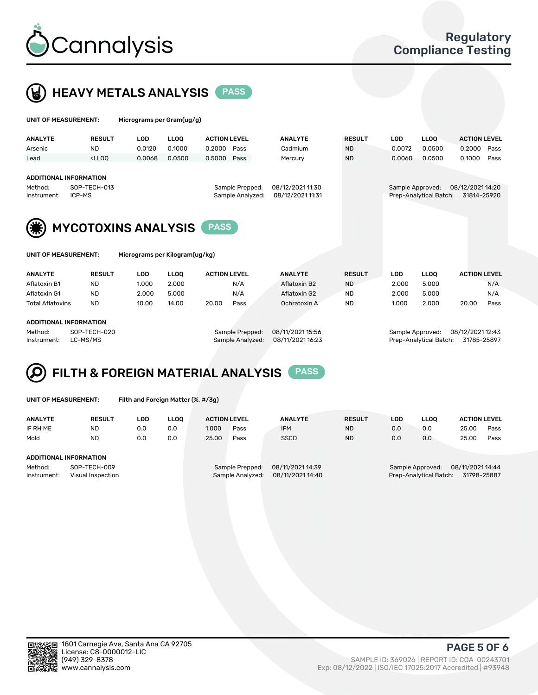



| UNIT OF MEASUREMENT:                                                              |                                                                                                     | Micrograms per Gram(ug/g) |             |                                     |                                      |               |                  |                        |                                 |      |
|-----------------------------------------------------------------------------------|-----------------------------------------------------------------------------------------------------|---------------------------|-------------|-------------------------------------|--------------------------------------|---------------|------------------|------------------------|---------------------------------|------|
| <b>ANALYTE</b>                                                                    | <b>RESULT</b>                                                                                       | <b>LOD</b>                | <b>LLOO</b> | <b>ACTION LEVEL</b>                 | <b>ANALYTE</b>                       | <b>RESULT</b> | <b>LOD</b>       | <b>LLOO</b>            | <b>ACTION LEVEL</b>             |      |
| Arsenic                                                                           | <b>ND</b>                                                                                           | 0.0120                    | 0.1000      | 0.2000<br>Pass                      | Cadmium                              | <b>ND</b>     | 0.0072           | 0.0500                 | 0.2000                          | Pass |
| Lead                                                                              | $<$ LLOO                                                                                            | 0.0068                    | 0.0500      | 0.5000<br>Pass                      | Mercury                              | <b>ND</b>     | 0.0060           | 0.0500                 | 0.1000                          | Pass |
| <b>ADDITIONAL INFORMATION</b><br>Method:<br>SOP-TECH-013<br>ICP-MS<br>Instrument: |                                                                                                     |                           |             | Sample Prepped:<br>Sample Analyzed: | 08/12/2021 11:30<br>08/12/2021 11:31 |               | Sample Approved: | Prep-Analytical Batch: | 08/12/2021 14:20<br>31814-25920 |      |
|                                                                                   | <b>MYCOTOXINS ANALYSIS</b><br><b>PASS</b><br>UNIT OF MEASUREMENT:<br>Micrograms per Kilogram(ug/kg) |                           |             |                                     |                                      |               |                  |                        |                                 |      |
| <b>ANALYTE</b>                                                                    | <b>RESULT</b>                                                                                       | <b>LOD</b>                | <b>LLOO</b> | <b>ACTION LEVEL</b>                 | <b>ANALYTE</b>                       | <b>RESULT</b> | <b>LOD</b>       | <b>LLOO</b>            | <b>ACTION LEVEL</b>             |      |
| Aflatoxin B1                                                                      | <b>ND</b>                                                                                           | 1.000                     | 2.000       | N/A                                 | Aflatoxin B2                         | <b>ND</b>     | 2.000            | 5.000                  |                                 | N/A  |
| Aflatoxin G1                                                                      | <b>ND</b>                                                                                           | 2.000                     | 5.000       | N/A                                 | Aflatoxin G2                         | <b>ND</b>     | 2.000            | 5.000                  |                                 | N/A  |
| <b>Total Aflatoxins</b>                                                           | <b>ND</b>                                                                                           | 10.00                     | 14.00       | 20.00<br>Pass                       | Ochratoxin A                         | <b>ND</b>     | 1.000            | 2.000                  | 20.00                           | Pass |
| <b>ADDITIONAL INFORMATION</b><br>Method:<br>Instrument:                           | SOP-TECH-020<br>LC-MS/MS                                                                            |                           |             | Sample Prepped:<br>Sample Analyzed: | 08/11/2021 15:56<br>08/11/2021 16:23 |               | Sample Approved: | Prep-Analytical Batch: | 08/12/2021 12:43<br>31785-25897 |      |

### FILTH & FOREIGN MATERIAL ANALYSIS PASS Q

UNIT OF MEASUREMENT: Filth and Foreign Matter (%, #/3g)

| <b>ANALYTE</b>                                              | <b>RESULT</b> | LOD | <b>LLOO</b> | <b>ACTION LEVEL</b>                                                         |      | <b>ANALYTE</b> | <b>RESULT</b> | LOD                                                                           | <b>LLOO</b> | <b>ACTION LEVEL</b> |      |
|-------------------------------------------------------------|---------------|-----|-------------|-----------------------------------------------------------------------------|------|----------------|---------------|-------------------------------------------------------------------------------|-------------|---------------------|------|
| IF RH ME                                                    | ND            | 0.0 | 0.0         | 1.000                                                                       | Pass | <b>IFM</b>     | <b>ND</b>     | 0.0                                                                           | 0.0         | 25.00               | Pass |
| Mold                                                        | <b>ND</b>     | 0.0 | 0.0         | 25.00                                                                       | Pass | <b>SSCD</b>    | <b>ND</b>     | 0.0                                                                           | 0.0         | 25.00               | Pass |
| <b>ADDITIONAL INFORMATION</b>                               |               |     |             |                                                                             |      |                |               |                                                                               |             |                     |      |
| Method:<br>SOP-TECH-009<br>Instrument:<br>Visual Inspection |               |     |             | 08/11/2021 14:39<br>Sample Prepped:<br>08/11/2021 14:40<br>Sample Analyzed: |      |                |               | 08/11/2021 14:44<br>Sample Approved:<br>31798-25887<br>Prep-Analytical Batch: |             |                     |      |